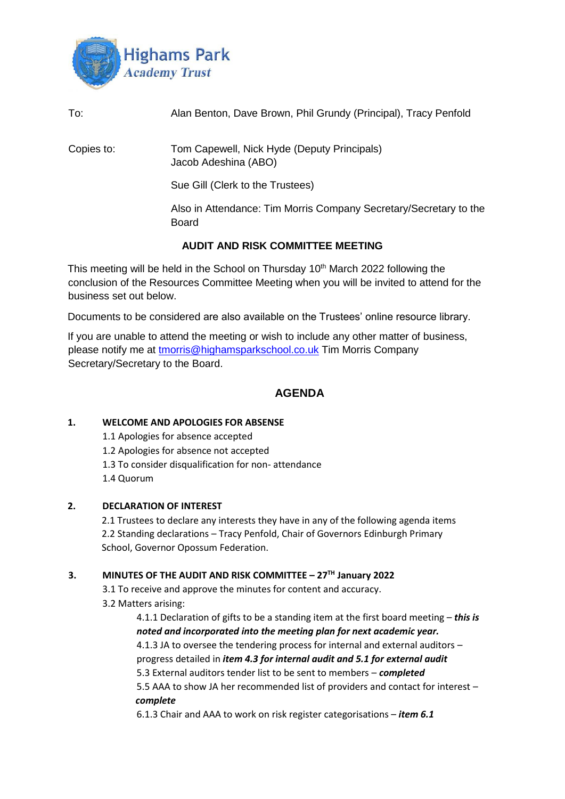

| To:        | Alan Benton, Dave Brown, Phil Grundy (Principal), Tracy Penfold            |
|------------|----------------------------------------------------------------------------|
| Copies to: | Tom Capewell, Nick Hyde (Deputy Principals)<br>Jacob Adeshina (ABO)        |
|            | Sue Gill (Clerk to the Trustees)                                           |
|            | Also in Attendance: Tim Morris Company Secretary/Secretary to the<br>Board |

# **AUDIT AND RISK COMMITTEE MEETING**

This meeting will be held in the School on Thursday 10<sup>th</sup> March 2022 following the conclusion of the Resources Committee Meeting when you will be invited to attend for the business set out below.

Documents to be considered are also available on the Trustees' online resource library.

If you are unable to attend the meeting or wish to include any other matter of business, please notify me at tmorris@highamsparkschool.co.uk Tim Morris Company Secretary/Secretary to the Board.

# **AGENDA**

## **1. WELCOME AND APOLOGIES FOR ABSENSE**

1.1 Apologies for absence accepted

1.2 Apologies for absence not accepted

1.3 To consider disqualification for non- attendance

1.4 Quorum

## **2. DECLARATION OF INTEREST**

2.1 Trustees to declare any interests they have in any of the following agenda items 2.2 Standing declarations – Tracy Penfold, Chair of Governors Edinburgh Primary School, Governor Opossum Federation.

## **3. MINUTES OF THE AUDIT AND RISK COMMITTEE – 27TH January 2022**

3.1 To receive and approve the minutes for content and accuracy.

3.2 Matters arising:

4.1.1 Declaration of gifts to be a standing item at the first board meeting – *this is noted and incorporated into the meeting plan for next academic year.* 4.1.3 JA to oversee the tendering process for internal and external auditors – progress detailed in *item 4.3 for internal audit and 5.1 for external audit* 5.3 External auditors tender list to be sent to members – *completed* 5.5 AAA to show JA her recommended list of providers and contact for interest – *complete*

6.1.3 Chair and AAA to work on risk register categorisations – *item 6.1*